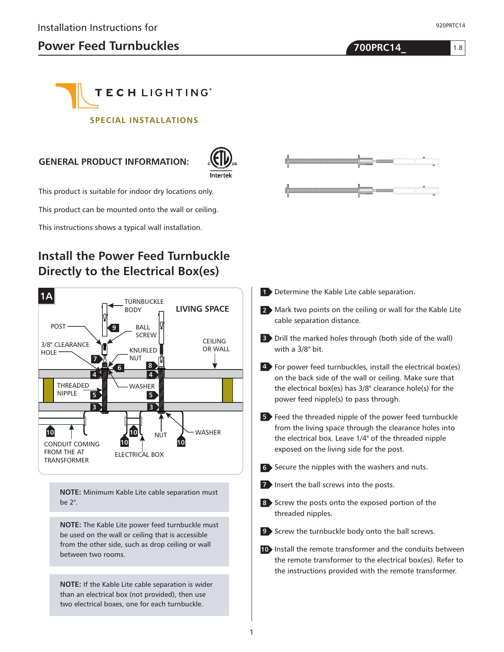1.8

920PRTC14

# **TECHLIGHTING**®

#### **SPECIAL INSTALLATIONS**

#### **GENERAL PRODUCT INFORMATION:**



This product is suitable for indoor dry locations only.

This product can be mounted onto the wall or ceiling.

This instructions shows a typical wall installation.

## **Install the Power Feed Turnbuckle Directly to the Electrical Box(es)**



**NOTE:** Minimum Kable Lite cable separation must be 2".

**NOTE:** The Kable Lite power feed turnbuckle must be used on the wall or ceiling that is accessible from the other side, such as drop ceiling or wall between two rooms.

**NOTE:** If the Kable Lite cable separation is wider than an electrical box (not provided), then use two electrical boxes, one for each turnbuckle.



- 1 Determine the Kable Lite cable separation.
- Mark two points on the ceiling or wall for the Kable Lite **2** cable separation distance.
- **3** Drill the marked holes through (both side of the wall) with a 3/8" bit.
- For power feed turnbuckles, install the electrical box(es) **4** on the back side of the wall or ceiling. Make sure that the electrical box(es) has 3/8" clearance hole(s) for the power feed nipple(s) to pass through.
- **5** Feed the threaded nipple of the power feed turnbuckle from the living space through the clearance holes into the electrical box. Leave 1/4" of the threaded nipple exposed on the living side for the post.
- Secure the nipples with the washers and nuts. **6**
- **7** Insert the ball screws into the posts.
- 8 Screw the posts onto the exposed portion of the threaded nipples.
- Screw the turnbuckle body onto the ball screws. **9**
- 10 Install the remote transformer and the conduits between the remote transformer to the electrical box(es). Refer to the instructions provided with the remote transformer.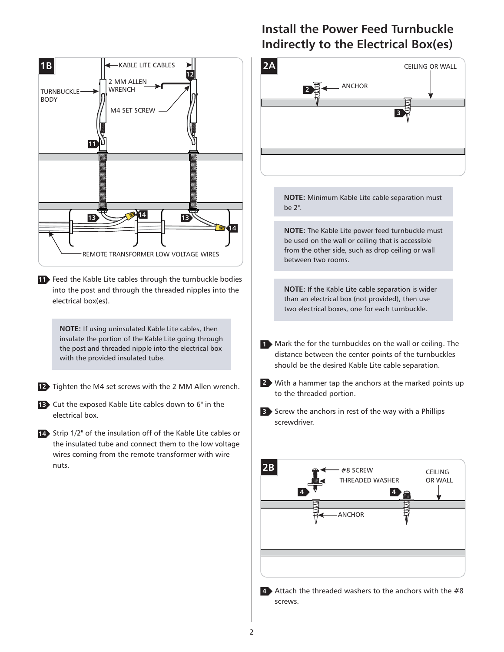

**4** Attach the threaded washers to the anchors with the #8 screws.

**Install the Power Feed Turnbuckle**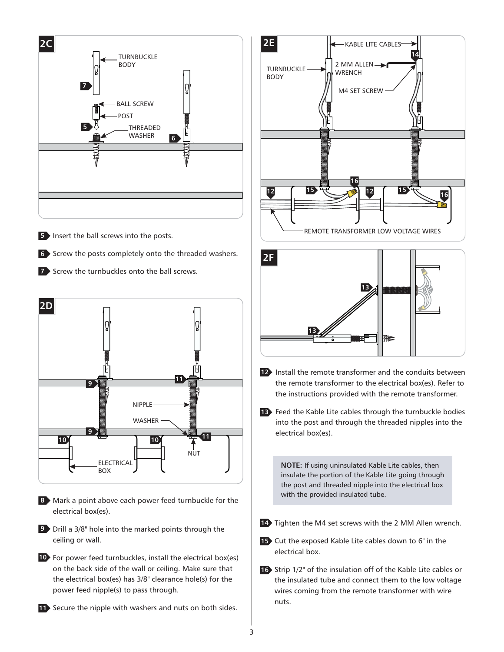

**10** For power feed turnbuckles, install the electrical box(es) on the back side of the wall or ceiling. Make sure that the electrical box(es) has 3/8" clearance hole(s) for the power feed nipple(s) to pass through.

11 Secure the nipple with washers and nuts on both sides.



**12** Install the remote transformer and the conduits between the remote transformer to the electrical box(es). Refer to the instructions provided with the remote transformer.

₩₹

**13**

**13** Feed the Kable Lite cables through the turnbuckle bodies into the post and through the threaded nipples into the electrical box(es).

**NOTE:** If using uninsulated Kable Lite cables, then insulate the portion of the Kable Lite going through the post and threaded nipple into the electrical box with the provided insulated tube.

- 14 Tighten the M4 set screws with the 2 MM Allen wrench.
- Cut the exposed Kable Lite cables down to 6" in the **15** electrical box.
- 16 Strip 1/2" of the insulation off of the Kable Lite cables or the insulated tube and connect them to the low voltage wires coming from the remote transformer with wire nuts.